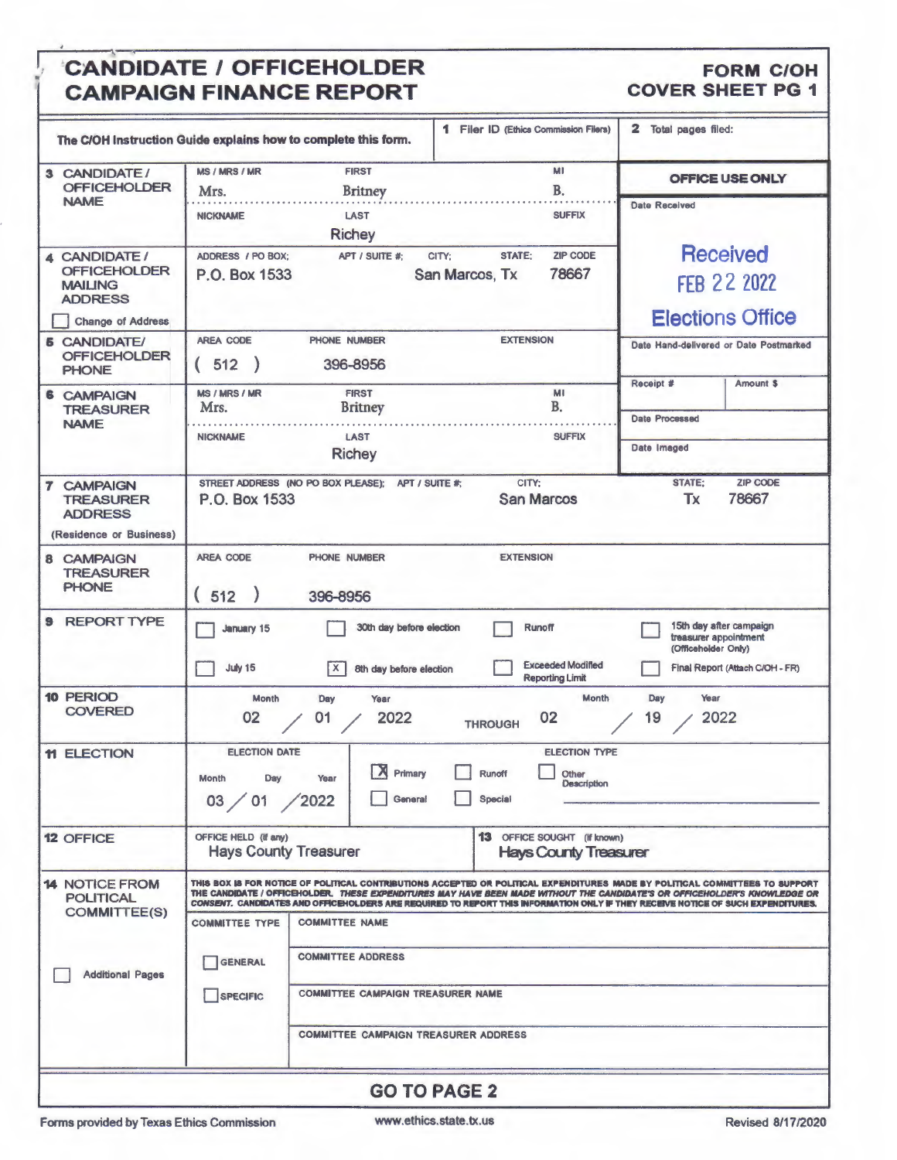### CANDIDATE / OFFICEHOLDER FORM C/OH<br>
CAMPAIGN FINANCE REPORT COVER SHEET PG 1 **CAMPAIGN FINANCE REPORT**

, I,

| The C/OH Instruction Guide explains how to complete this form.                                |                                                        |                                                                                                                                              | 1 Filer ID (Ethics Commission Filers)                                                                                                                                                                                                                                                                                                                                                         | 2 Total pages filed:                         |                                                            |  |  |
|-----------------------------------------------------------------------------------------------|--------------------------------------------------------|----------------------------------------------------------------------------------------------------------------------------------------------|-----------------------------------------------------------------------------------------------------------------------------------------------------------------------------------------------------------------------------------------------------------------------------------------------------------------------------------------------------------------------------------------------|----------------------------------------------|------------------------------------------------------------|--|--|
| 3 CANDIDATE/<br><b>OFFICEHOLDER</b>                                                           | <b>MS / MRS / MR</b><br>Mrs.                           | <b>FIRST</b><br><b>Britney</b>                                                                                                               | MI<br><b>B.</b>                                                                                                                                                                                                                                                                                                                                                                               |                                              | OFFICE USE ONLY                                            |  |  |
| <b>NAME</b>                                                                                   | <b>NICKNAME</b>                                        | <b>LAST</b><br><b>Richey</b>                                                                                                                 | <b>SUFFIX</b>                                                                                                                                                                                                                                                                                                                                                                                 | <b>Date Received</b>                         |                                                            |  |  |
| 4 CANDIDATE /<br><b>OFFICEHOLDER</b><br><b>MAILING</b><br><b>ADDRESS</b><br>Change of Address | ADDRESS / PO BOX:<br>P.O. Box 1533                     | APT / SUITE #:<br>CITY;<br>San Marcos, Tx                                                                                                    | <b>Received</b><br><b>FFB 22 2022</b><br><b>Elections Office</b>                                                                                                                                                                                                                                                                                                                              |                                              |                                                            |  |  |
| <b>6 CANDIDATE/</b><br><b>OFFICEHOLDER</b><br><b>PHONE</b>                                    | <b>AREA CODE</b><br>(512)                              | PHONE NUMBER<br>396-8956                                                                                                                     | <b>EXTENSION</b>                                                                                                                                                                                                                                                                                                                                                                              |                                              | Date Hand-delivered or Date Postmarked                     |  |  |
| 6<br><b>CAMPAIGN</b><br><b>TREASURER</b>                                                      | MS / MRS / MR<br>Mrs.                                  | <b>FIRST</b><br><b>Britney</b>                                                                                                               | MI<br><b>B.</b>                                                                                                                                                                                                                                                                                                                                                                               | Receipt #                                    | Amount \$                                                  |  |  |
| <b>NAME</b>                                                                                   | <b>NICKNAME</b>                                        | <b>LAST</b><br><b>Richey</b>                                                                                                                 | <b>Date Processed</b><br>Date Imaged                                                                                                                                                                                                                                                                                                                                                          |                                              |                                                            |  |  |
| <b>7 CAMPAIGN</b><br><b>TREASURER</b><br><b>ADDRESS</b><br>(Residence or Business)            | P.O. Box 1533                                          | STREET ADDRESS (NO PO BOX PLEASE); APT / SUITE #;                                                                                            | CITY:<br><b>San Marcos</b>                                                                                                                                                                                                                                                                                                                                                                    | <b>STATE:</b><br><b>Tx</b>                   | <b>ZIP CODE</b><br>78667                                   |  |  |
| 8 CAMPAIGN<br><b>TREASURER</b><br><b>PHONE</b>                                                | <b>AREA CODE</b><br>(512)                              | PHONE NUMBER<br>396-8956                                                                                                                     | <b>EXTENSION</b>                                                                                                                                                                                                                                                                                                                                                                              |                                              |                                                            |  |  |
| <b>9 REPORT TYPE</b>                                                                          | <b>January 15</b><br>July 15                           | 30th day before election<br>$\mathsf{X}$<br>8th day before election                                                                          | <b>Runoff</b><br><b>Exceeded Modified</b><br><b>Reporting Limit</b>                                                                                                                                                                                                                                                                                                                           | treasurer appointment<br>(Officeholder Only) | 15th day after campaign<br>Final Report (Attach C/OH - FR) |  |  |
| <b>10 PERIOD</b><br><b>COVERED</b>                                                            | Month<br>02                                            | Year<br>Day<br>2022<br>01                                                                                                                    | Month<br>02<br><b>THROUGH</b>                                                                                                                                                                                                                                                                                                                                                                 | Year<br>Day<br>2022<br>19                    |                                                            |  |  |
| <b>11 ELECTION</b>                                                                            | <b>ELECTION DATE</b><br>Month<br>Day<br>03 / 01 / 2022 | <b>X</b> Primary<br>Year<br>General                                                                                                          | <b>ELECTION TYPE</b><br>$\Box$ Other<br>Runoff<br>Description<br>Special                                                                                                                                                                                                                                                                                                                      |                                              |                                                            |  |  |
| <b>12 OFFICE</b>                                                                              | OFFICE HELD (If any)<br><b>Hays County Treasurer</b>   |                                                                                                                                              | <b>13</b> OFFICE SOUGHT (If known)<br><b>Hays County Treasurer</b>                                                                                                                                                                                                                                                                                                                            |                                              |                                                            |  |  |
| <b>14 NOTICE FROM</b><br><b>POLITICAL</b><br><b>COMMITTEE(S)</b><br><b>Additional Pages</b>   | <b>COMMITTEE TYPE</b><br><b>GENERAL</b><br>SPECIFIC    | <b>COMMITTEE NAME</b><br><b>COMMITTEE ADDRESS</b><br><b>COMMITTEE CAMPAIGN TREASURER NAME</b><br><b>COMMITTEE CAMPAIGN TREASURER ADDRESS</b> | THIS BOX IS FOR NOTICE OF POLITICAL CONTRIBUTIONS ACCEPTED OR POLITICAL EXPENDITURES MADE BY POLITICAL COMMITTEES TO SUPPORT<br>THE CANDIDATE / OFFICEHOLDER. THESE EXPENDITURES MAY HAVE BEEN MADE WITHOUT THE CANDIDATE'S OR OFFICEHOLDER'S KNOWLEDGE OR<br>CONSENT. CANDIDATES AND OFFICEHOLDERS ARE REQUIRED TO REPORT THIS INFORMATION ONLY IF THEY RECEIVE NOTICE OF SUCH EXPENDITURES. |                                              |                                                            |  |  |
| <b>GO TO PAGE 2</b>                                                                           |                                                        |                                                                                                                                              |                                                                                                                                                                                                                                                                                                                                                                                               |                                              |                                                            |  |  |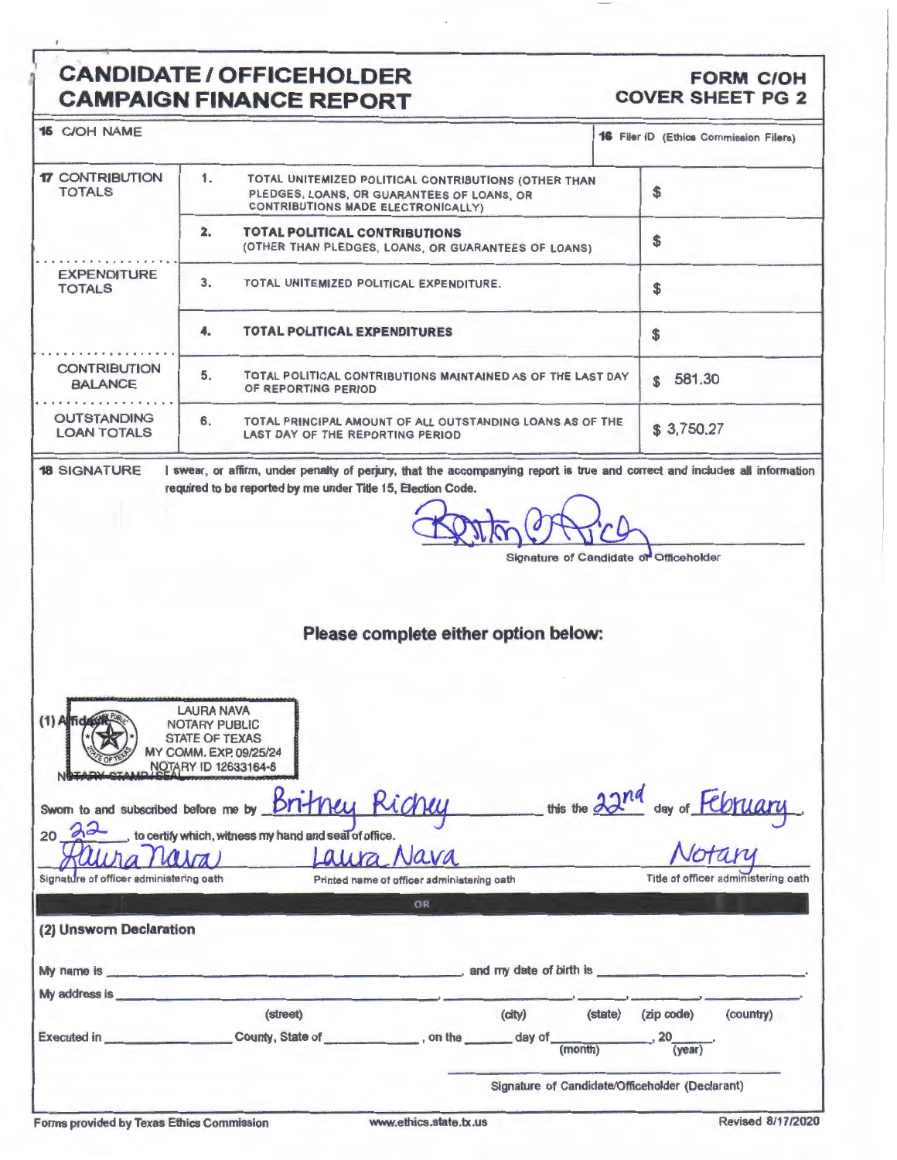#### **CANDIDATE / OFFICEHOLDER** CAMPAIGN FINANCE PEROPT

# FORM C/OH<br>COVER SHEET PG 2

| CAMPAIGN FINANCE REPORT                                                                                                                                                        |                                                                                                                                                                                                                                                                                              |
|--------------------------------------------------------------------------------------------------------------------------------------------------------------------------------|----------------------------------------------------------------------------------------------------------------------------------------------------------------------------------------------------------------------------------------------------------------------------------------------|
|                                                                                                                                                                                | 16 Filer ID (Ethica Commission Filers)                                                                                                                                                                                                                                                       |
| 1.<br>TOTAL UNITEMIZED POLITICAL CONTRIBUTIONS (OTHER THAN<br>PLEDGES, LOANS, OR GUARANTEES OF LOANS, OR<br>CONTRIBUTIONS MADE ELECTRONICALLY)                                 | \$                                                                                                                                                                                                                                                                                           |
| 2.<br><b>TOTAL POLITICAL CONTRIBUTIONS</b><br>(OTHER THAN PLEDGES, LOANS, OR GUARANTEES OF LOANS)                                                                              | \$                                                                                                                                                                                                                                                                                           |
| 3.<br>TOTAL UNITEMIZED POLITICAL EXPENDITURE.                                                                                                                                  | \$                                                                                                                                                                                                                                                                                           |
| <b>TOTAL POLITICAL EXPENDITURES</b><br>4.                                                                                                                                      | \$                                                                                                                                                                                                                                                                                           |
| 5.<br>TOTAL POLITICAL CONTRIBUTIONS MAINTAINED AS OF THE LAST DAY<br>OF REPORTING PERIOD                                                                                       | 581.30<br>\$                                                                                                                                                                                                                                                                                 |
| 6.<br>TOTAL PRINCIPAL AMOUNT OF ALL OUTSTANDING LOANS AS OF THE<br>LAST DAY OF THE REPORTING PERIOD                                                                            | \$3,750.27                                                                                                                                                                                                                                                                                   |
| Signature of Candidate or Officeholder                                                                                                                                         |                                                                                                                                                                                                                                                                                              |
|                                                                                                                                                                                |                                                                                                                                                                                                                                                                                              |
| <b>LAURA NAVA</b><br><b>NOTARY PUBLIC</b><br><b>STATE OF TEXAS</b><br>MY COMM. EXP. 09/25/24<br>NOTARY ID 12633164-6<br>Britney Richey<br>Sworn to and subscribed before me by | this the 22nd day of February                                                                                                                                                                                                                                                                |
| Laura Nava                                                                                                                                                                     |                                                                                                                                                                                                                                                                                              |
|                                                                                                                                                                                | I swear, or affirm, under penalty of perjury, that the accompanying report is true and correct and includes all information<br>required to be reported by me under Title 15, Election Code.<br>Please complete either option below:<br>to certify which, witness my hand and seal of office. |

| <u>Auura Mura</u>                       |                  | Laura Nava                                 |                         |         | Notary       |           |
|-----------------------------------------|------------------|--------------------------------------------|-------------------------|---------|--------------|-----------|
| Signature of officer administering oath |                  | Printed name of officer administering oath |                         |         |              |           |
|                                         |                  | OR                                         |                         |         |              |           |
| (2) Unsworn Declaration                 |                  |                                            |                         |         |              |           |
| My name is _                            |                  |                                            | and my date of birth is |         |              |           |
| My address is                           |                  |                                            |                         |         |              |           |
|                                         | (street)         |                                            | (city)                  | (state) | (zip code)   | (country) |
| <b>Executed in</b>                      | County, State of | . on the                                   | day of                  | (month) | 20<br>(year) |           |
|                                         |                  |                                            |                         |         |              |           |

Signature of Candidate/Officeholder (Declarant)